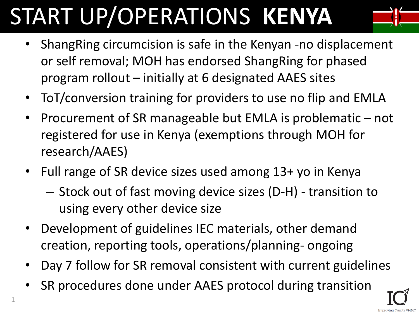## START UP/OPERATIONS **KENYA**



- ShangRing circumcision is safe in the Kenyan -no displacement or self removal; MOH has endorsed ShangRing for phased program rollout – initially at 6 designated AAES sites
- ToT/conversion training for providers to use no flip and EMLA
- Procurement of SR manageable but EMLA is problematic not registered for use in Kenya (exemptions through MOH for research/AAES)
- Full range of SR device sizes used among 13+ yo in Kenya
	- Stock out of fast moving device sizes (D-H) transition to using every other device size
- Development of guidelines IEC materials, other demand creation, reporting tools, operations/planning- ongoing
- Day 7 follow for SR removal consistent with current guidelines
- SR procedures done under AAES protocol during transition

1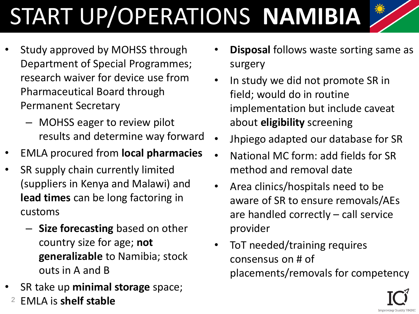# START UP/OPERATIONS **NAMIBIA**

- Study approved by MOHSS through Department of Special Programmes; research waiver for device use from Pharmaceutical Board through Permanent Secretary
	- MOHSS eager to review pilot results and determine way forward
- EMLA procured from **local pharmacies**
- SR supply chain currently limited (suppliers in Kenya and Malawi) and **lead times** can be long factoring in customs
	- **Size forecasting** based on other country size for age; **not generalizable** to Namibia; stock outs in A and B
- SR take up **minimal storage** space;
	- <sup>2</sup> EMLA is **shelf stable**
- **Disposal follows waste sorting same as** surgery
- In study we did not promote SR in field; would do in routine implementation but include caveat about **eligibility** screening
- Jhpiego adapted our database for SR
- National MC form: add fields for SR method and removal date
- Area clinics/hospitals need to be aware of SR to ensure removals/AEs are handled correctly – call service provider
- ToT needed/training requires consensus on # of placements/removals for competency